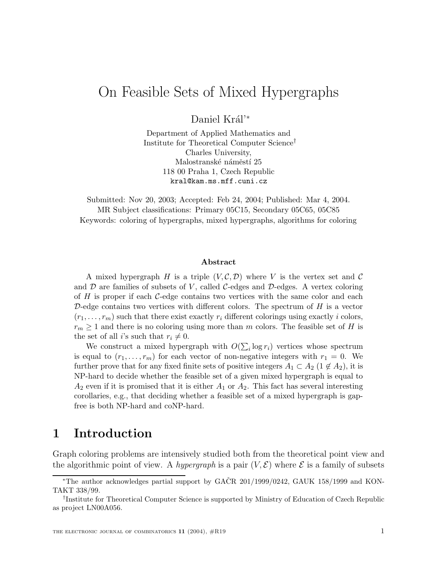# On Feasible Sets of Mixed Hypergraphs

Daniel Král'\*

Department of Applied Mathematics and Institute for Theoretical Computer Science† Charles University, Malostranské náměstí $25$ 118 00 Praha 1, Czech Republic kral@kam.ms.mff.cuni.cz

Submitted: Nov 20, 2003; Accepted: Feb 24, 2004; Published: Mar 4, 2004. MR Subject classifications: Primary 05C15, Secondary 05C65, 05C85 Keywords: coloring of hypergraphs, mixed hypergraphs, algorithms for coloring

#### **Abstract**

A mixed hypergraph H is a triple  $(V, \mathcal{C}, \mathcal{D})$  where V is the vertex set and C and  $\mathcal D$  are families of subsets of V, called C-edges and  $\mathcal D$ -edges. A vertex coloring of  $H$  is proper if each  $C$ -edge contains two vertices with the same color and each D-edge contains two vertices with different colors. The spectrum of  $H$  is a vector  $(r_1,\ldots,r_m)$  such that there exist exactly r<sub>i</sub> different colorings using exactly i colors,  $r_m \geq 1$  and there is no coloring using more than m colors. The feasible set of H is the set of all *i*'s such that  $r_i \neq 0$ .

We construct a mixed hypergraph with  $O(\sum_i \log r_i)$  vertices whose spectrum is equal to  $(r_1,\ldots,r_m)$  for each vector of non-negative integers with  $r_1 = 0$ . We further prove that for any fixed finite sets of positive integers  $A_1 \subset A_2$  (1  $\notin A_2$ ), it is NP-hard to decide whether the feasible set of a given mixed hypergraph is equal to  $A_2$  even if it is promised that it is either  $A_1$  or  $A_2$ . This fact has several interesting corollaries, e.g., that deciding whether a feasible set of a mixed hypergraph is gapfree is both NP-hard and coNP-hard.

# **1 Introduction**

Graph coloring problems are intensively studied both from the theoretical point view and the algorithmic point of view. A *hypergraph* is a pair  $(V, \mathcal{E})$  where  $\mathcal{E}$  is a family of subsets

<sup>\*</sup>The author acknowledges partial support by  $GACR$  201/1999/0242,  $GAUK$  158/1999 and KON-TAKT 338/99.

<sup>†</sup>Institute for Theoretical Computer Science is supported by Ministry of Education of Czech Republic as project LN00A056.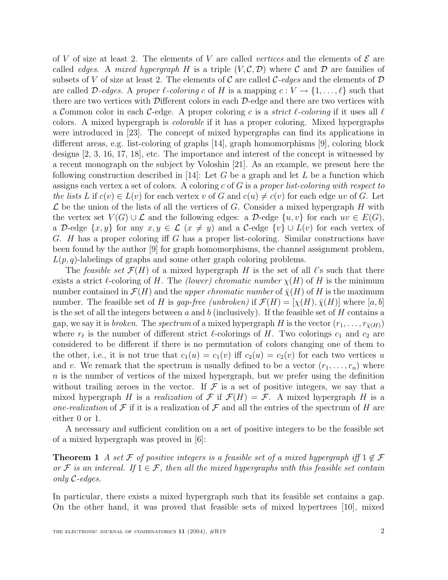of V of size at least 2. The elements of V are called *vertices* and the elements of  $\mathcal E$  are called *edges.* A mixed hypergraph H is a triple  $(V, \mathcal{C}, \mathcal{D})$  where C and D are families of subsets of V of size at least 2. The elements of C are called C-edges and the elements of D are called D-edges. A proper  $\ell$ -coloring c of H is a mapping  $c : V \to \{1,\ldots,\ell\}$  such that there are two vertices with Different colors in each D-edge and there are two vertices with a Common color in each C-edge. A proper coloring c is a *strict l-coloring* if it uses all  $\ell$ colors. A mixed hypergraph is colorable if it has a proper coloring. Mixed hypergraphs were introduced in [23]. The concept of mixed hypergraphs can find its applications in different areas, e.g. list-coloring of graphs [14], graph homomorphisms [9], coloring block designs [2, 3, 16, 17, 18], etc. The importance and interest of the concept is witnessed by a recent monograph on the subject by Voloshin [21]. As an example, we present here the following construction described in [14]: Let G be a graph and let L be a function which assigns each vertex a set of colors. A coloring c of  $G$  is a proper list-coloring with respect to the lists L if  $c(v) \in L(v)$  for each vertex v of G and  $c(u) \neq c(v)$  for each edge uv of G. Let  $\mathcal L$  be the union of the lists of all the vertices of G. Consider a mixed hypergraph H with the vertex set  $V(G) \cup \mathcal{L}$  and the following edges: a D-edge  $\{u, v\}$  for each  $uv \in E(G)$ , a D-edge  $\{x, y\}$  for any  $x, y \in \mathcal{L}$   $(x \neq y)$  and a C-edge  $\{v\} \cup L(v)$  for each vertex of G. H has a proper coloring iff G has a proper list-coloring. Similar constructions have been found by the author [9] for graph homomorphisms, the channel assignment problem,  $L(p, q)$ -labelings of graphs and some other graph coloring problems.

The *feasible set*  $\mathcal{F}(H)$  of a mixed hypergraph H is the set of all  $\ell$ 's such that there exists a strict l-coloring of H. The (lower) chromatic number  $\chi(H)$  of H is the minimum number contained in  $\mathcal{F}(H)$  and the upper chromatic number of  $\bar{\chi}(H)$  of H is the maximum number. The feasible set of H is gap-free (unbroken) if  $\mathcal{F}(H)=[\chi(H), \overline{\chi}(H)]$  where [a, b] is the set of all the integers between a and b (inclusively). If the feasible set of H contains a gap, we say it is *broken*. The *spectrum* of a mixed hypergraph H is the vector  $(r_1, \ldots, r_{\bar{\chi}(H)})$ where  $r_{\ell}$  is the number of different strict  $\ell$ -colorings of H. Two colorings  $c_1$  and  $c_2$  are considered to be different if there is no permutation of colors changing one of them to the other, i.e., it is not true that  $c_1(u) = c_1(v)$  iff  $c_2(u) = c_2(v)$  for each two vertices u and v. We remark that the spectrum is usually defined to be a vector  $(r_1,\ldots,r_n)$  where  $n$  is the number of vertices of the mixed hypergraph, but we prefer using the definition without trailing zeroes in the vector. If  $\mathcal F$  is a set of positive integers, we say that a mixed hypergraph H is a realization of F if  $\mathcal{F}(H) = \mathcal{F}$ . A mixed hypergraph H is a one-realization of  $\mathcal F$  if it is a realization of  $\mathcal F$  and all the entries of the spectrum of H are either 0 or 1.

A necessary and sufficient condition on a set of positive integers to be the feasible set of a mixed hypergraph was proved in [6]:

**Theorem 1** A set F of positive integers is a feasible set of a mixed hypergraph iff  $1 \notin \mathcal{F}$ or F is an interval. If  $1 \in \mathcal{F}$ , then all the mixed hypergraphs with this feasible set contain only C-edges.

In particular, there exists a mixed hypergraph such that its feasible set contains a gap. On the other hand, it was proved that feasible sets of mixed hypertrees [10], mixed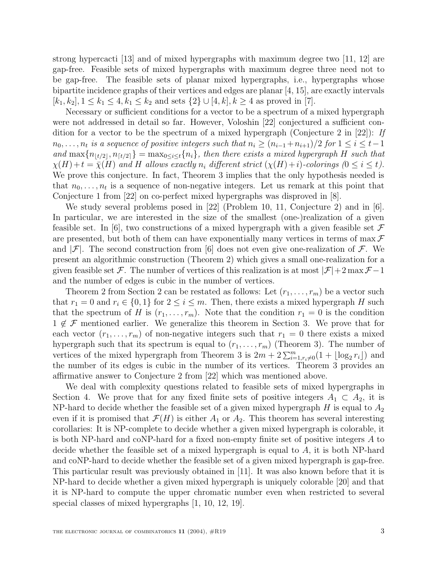strong hypercacti [13] and of mixed hypergraphs with maximum degree two [11, 12] are gap-free. Feasible sets of mixed hypergraphs with maximum degree three need not to be gap-free. The feasible sets of planar mixed hypergraphs, i.e., hypergraphs whose bipartite incidence graphs of their vertices and edges are planar [4, 15], are exactly intervals  $[k_1, k_2], 1 \leq k_1 \leq 4, k_1 \leq k_2$  and sets  $\{2\} \cup [4, k], k \geq 4$  as proved in [7].

Necessary or sufficient conditions for a vector to be a spectrum of a mixed hypergraph were not addressed in detail so far. However, Voloshin [22] conjectured a sufficient condition for a vector to be the spectrum of a mixed hypergraph (Conjecture 2 in [22]): If  $n_0,\ldots,n_t$  is a sequence of positive integers such that  $n_i \geq (n_{i-1}+n_{i+1})/2$  for  $1 \leq i \leq t-1$ and  $\max\{n_{\lfloor t/2\rfloor}, n_{\lfloor t/2\rfloor}\} = \max_{0 \le i \le t} \{n_i\}$ , then there exists a mixed hypergraph H such that  $\chi(H)+t=\bar{\chi}(H)$  and H allows exactly  $n_i$  different strict  $(\chi(H)+i)$ -colorings  $(0 \leq i \leq t)$ . We prove this conjecture. In fact, Theorem 3 implies that the only hypothesis needed is that  $n_0, \ldots, n_t$  is a sequence of non-negative integers. Let us remark at this point that Conjecture 1 from [22] on co-perfect mixed hypergraphs was disproved in [8].

We study several problems posed in [22] (Problem 10, 11, Conjecture 2) and in  $[6]$ . In particular, we are interested in the size of the smallest (one-)realization of a given feasible set. In  $|6|$ , two constructions of a mixed hypergraph with a given feasible set  $\mathcal F$ are presented, but both of them can have exponentially many vertices in terms of max  $\mathcal F$ and  $|\mathcal{F}|$ . The second construction from [6] does not even give one-realization of  $\mathcal{F}$ . We present an algorithmic construction (Theorem 2) which gives a small one-realization for a given feasible set F. The number of vertices of this realization is at most  $|\mathcal{F}|+2 \max \mathcal{F}-1$ and the number of edges is cubic in the number of vertices.

Theorem 2 from Section 2 can be restated as follows: Let  $(r_1,\ldots,r_m)$  be a vector such that  $r_1 = 0$  and  $r_i \in \{0, 1\}$  for  $2 \leq i \leq m$ . Then, there exists a mixed hypergraph H such that the spectrum of H is  $(r_1,\ldots,r_m)$ . Note that the condition  $r_1 = 0$  is the condition  $1 \notin \mathcal{F}$  mentioned earlier. We generalize this theorem in Section 3. We prove that for each vector  $(r_1,\ldots,r_m)$  of non-negative integers such that  $r_1 = 0$  there exists a mixed hypergraph such that its spectrum is equal to  $(r_1, \ldots, r_m)$  (Theorem 3). The number of vertices of the mixed hypergraph from Theorem 3 is  $2m + 2\sum_{i=1, r_i \neq 0}^{m} (1 + \lfloor \log_2 r_i \rfloor)$  and<br>the number of its edges is enhis in the number of its vertices. Theorem 3 provides an the number of its edges is cubic in the number of its vertices. Theorem 3 provides an affirmative answer to Conjecture 2 from [22] which was mentioned above.

We deal with complexity questions related to feasible sets of mixed hypergraphs in Section 4. We prove that for any fixed finite sets of positive integers  $A_1 \subset A_2$ , it is NP-hard to decide whether the feasible set of a given mixed hypergraph  $H$  is equal to  $A_2$ even if it is promised that  $\mathcal{F}(H)$  is either  $A_1$  or  $A_2$ . This theorem has several interesting corollaries: It is NP-complete to decide whether a given mixed hypergraph is colorable, it is both NP-hard and coNP-hard for a fixed non-empty finite set of positive integers A to decide whether the feasible set of a mixed hypergraph is equal to  $A$ , it is both NP-hard and coNP-hard to decide whether the feasible set of a given mixed hypergraph is gap-free. This particular result was previously obtained in [11]. It was also known before that it is NP-hard to decide whether a given mixed hypergraph is uniquely colorable [20] and that it is NP-hard to compute the upper chromatic number even when restricted to several special classes of mixed hypergraphs [1, 10, 12, 19].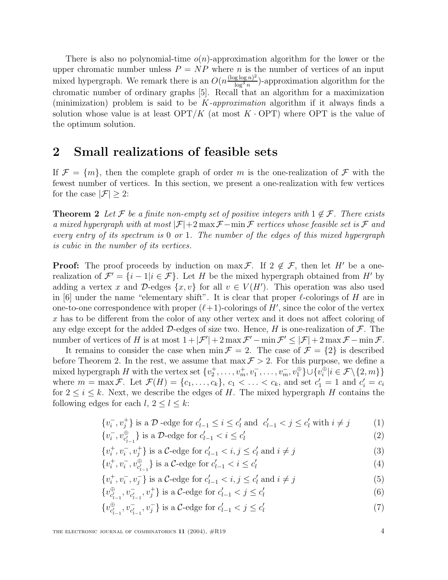There is also no polynomial-time  $o(n)$ -approximation algorithm for the lower or the upper chromatic number unless  $P = NP$  where n is the number of vertices of an input mixed hypergraph. We remark there is an  $O(n \frac{(\log \log n)^2}{\log^3 n})$ -approximation algorithm for the<br>chromatic number of erdinary graphs [5]. Besall that an election for a maximization chromatic number of ordinary graphs [5]. Recall that an algorithm for a maximization (minimization) problem is said to be  $K$ -approximation algorithm if it always finds a solution whose value is at least  $\text{OPT}/K$  (at most K  $\cdot$  OPT) where OPT is the value of the optimum solution.

### **2 Small realizations of feasible sets**

If  $\mathcal{F} = \{m\}$ , then the complete graph of order m is the one-realization of  $\mathcal F$  with the fewest number of vertices. In this section, we present a one-realization with few vertices for the case  $|\mathcal{F}| \geq 2$ :

**Theorem 2** Let F be a finite non-empty set of positive integers with  $1 \notin \mathcal{F}$ . There exists a mixed hypergraph with at most  $|\mathcal{F}|+2 \max \mathcal{F} - \min \mathcal{F}$  vertices whose feasible set is  $\mathcal F$  and every entry of its spectrum is 0 or 1. The number of the edges of this mixed hypergraph is cubic in the number of its vertices.

**Proof:** The proof proceeds by induction on max F. If  $2 \notin \mathcal{F}$ , then let H' be a onerealization of  $\mathcal{F}' = \{i - 1|i \in \mathcal{F}\}\.$  Let H be the mixed hypergraph obtained from H' by adding a vertex x and D-edges  $\{x, v\}$  for all  $v \in V(H')$ . This operation was also used in [6] under the name "elementary shift". It is clear that proper  $\ell$ -colorings of H are in one-to-one correspondence with proper  $(\ell+1)$ -colorings of H', since the color of the vertex x has to be different from the color of any other vertex and it does not affect coloring of any edge except for the added  $\mathcal{D}$ -edges of size two. Hence, H is one-realization of  $\mathcal{F}$ . The number of vertices of H is at most  $1 + |\mathcal{F}'| + 2 \max \mathcal{F}' - \min \mathcal{F}' \leq |\mathcal{F}| + 2 \max \mathcal{F} - \min \mathcal{F}.$ 

It remains to consider the case when  $\min \mathcal{F} = 2$ . The case of  $\mathcal{F} = \{2\}$  is described before Theorem 2. In the rest, we assume that  $\max \mathcal{F} > 2$ . For this purpose, we define a mixed hypergraph H with the vertex set  $\{v_2^+, \ldots, v_m^+, v_1^-, \ldots, v_m^-, v_1^{\oplus} \} \cup \{v_i^{\oplus} | i \in \mathcal{F} \setminus \{2, m\}\}\$ where  $m = \max \mathcal{F}$ . Let  $\mathcal{F}(H) = \{c_1, \ldots, c_k\}$ ,  $c_1 < \ldots < c_k$ , and set  $c'_1 = 1$  and  $c'_i = c_i$ <br>for  $2 \le i \le k$ . Novt, we describe the edges of H. The mixed hypergraph H contains the for  $2 \leq i \leq k$ . Next, we describe the edges of H. The mixed hypergraph H contains the following edges for each  $l, 2 \leq l \leq k$ :

$$
\{v_i^-, v_j^+\} \text{ is a } \mathcal{D} \text{ -edge for } c'_{l-1} \le i \le c'_l \text{ and } c'_{l-1} < j \le c'_l \text{ with } i \ne j \tag{1}
$$

$$
\{v_i^-, v_{c'_{l-1}}^{\oplus}\}\text{ is a }\mathcal{D}\text{-edge for }c'_{l-1} < i \le c'_l\tag{2}
$$

$$
\{v_i^+, v_i^-, v_j^+\} \text{ is a } \mathcal{C}\text{-edge for } c'_{l-1} < i, j \le c'_l \text{ and } i \ne j
$$
\n
$$
(3)
$$

$$
\{v_i^+, v_i^-, v_{c'_{l-1}}^{\oplus}\} \text{ is a }\mathcal{C}\text{-edge for } c'_{l-1} < i \leq c'_l \tag{4}
$$

$$
\{v_i^+, v_i^-, v_j^-\} \text{ is a } \mathcal{C}\text{-edge for } c'_{l-1} < i, j \le c'_l \text{ and } i \ne j \tag{5}
$$

$$
\{v_{c'_{l-1}}^{\oplus}, v_{c'_{l-1}}^-, v_j^+\} \text{ is a }\mathcal{C}\text{-edge for } c'_{l-1} < j \le c'_l \tag{6}
$$

$$
\{v_{c'_{l-1}}^{\oplus}, v_{c'_{l-1}}^-, v_j^-\} \text{ is a } \mathcal{C}\text{-edge for } c'_{l-1} < j \leq c'_l \tag{7}
$$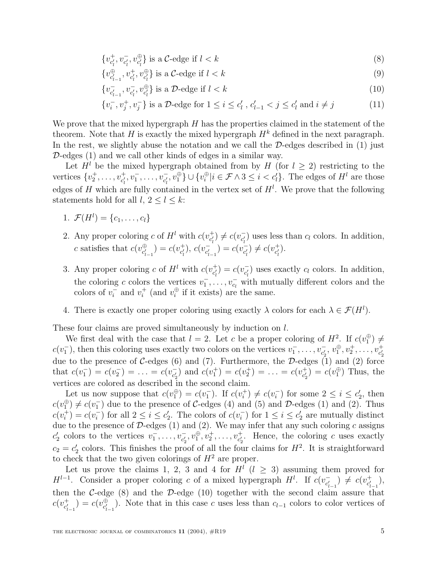$$
\{v_{c_l'}^+, v_{c_l'}^-, v_{c_l'}^{\oplus}\} \text{ is a }\mathcal{C}\text{-edge if } l < k
$$
\n
$$
\tag{8}
$$

$$
\{v_{c_{l-1}'}^{\oplus}, v_{c_l'}^+, v_{c_l'}^{\oplus}\} \text{ is a }\mathcal{C}\text{-edge if } l < k
$$
\n
$$
\tag{9}
$$

$$
\{v_{c'_{l-1}}, v_{c'_l}, v_{c'_l}^{\oplus}\} \text{ is a } \mathcal{D}\text{-edge if } l < k
$$
 (10)

$$
\{v_i^-, v_j^+, v_j^-\} \text{ is a } \mathcal{D}\text{-edge for } 1 \le i \le c'_l \text{ , } c'_{l-1} < j \le c'_l \text{ and } i \ne j \tag{11}
$$

We prove that the mixed hypergraph  $H$  has the properties claimed in the statement of the theorem. Note that H is exactly the mixed hypergraph  $H^k$  defined in the next paragraph. In the rest, we slightly abuse the notation and we call the  $D$ -edges described in  $(1)$  just  $\mathcal{D}\text{-edges}$  (1) and we call other kinds of edges in a similar way.

Let  $H^l$  be the mixed hypergraph obtained from by H (for  $l \geq 2$ ) restricting to the vertices  $\{v_2^+, \ldots, v_{c_l^{'}}^+, v_1^-, \ldots, v_{c_l^{'}}^-, v_1^{\oplus}\} \cup \{v_i^{\oplus}|i \in \mathcal{F} \wedge 3 \leq i < c_l^{'}\}\.$  The edges of  $H^l$  are those edges of H which are fully contained in the vertex set of  $H^l$ . We prove that the following statements hold for all  $l, 2 \leq l \leq k$ :

- 1.  $\mathcal{F}(H^l) = \{c_1, \ldots, c_l\}$
- 2. Any proper coloring c of  $H^l$  with  $c(v_{c_l'}^+) \neq c(v_{c_l'}^-)$  uses less than  $c_l$  colors. In addition, c satisfies that  $c(v_{c'_{l-1}}^{\oplus}) = c(v_{c'_{l}}^{+}), c(v_{c'_{l-1}}^{-}) = c(v_{c'_{l}}^{-}) \neq c(v_{c'_{l}}^{+}).$
- 3. Any proper coloring c of  $H^l$  with  $c(v_{c_l'}^+) = c(v_{c_l'}^-)$  uses exactly  $c_l$  colors. In addition, the coloring c colors the vertices  $v_1^-, \ldots, v_{c_l}^-$  with mutually different colors and the selected  $s_1^+$  and  $u_1^+$  (and  $u_2^+$ ) if it eviated are the series colors of  $v_i^-$  and  $v_i^+$  (and  $v_i^{\oplus}$  if it exists) are the same.
- 4. There is exactly one proper coloring using exactly  $\lambda$  colors for each  $\lambda \in \mathcal{F}(H^l)$ .

These four claims are proved simultaneously by induction on l.

We first deal with the case that  $l = 2$ . Let c be a proper coloring of  $H^2$ . If  $c(v_1^{\oplus}) \neq$  $c(v_1^-)$ , then this coloring uses exactly two colors on the vertices  $v_1^-$ ,  $\dots$ ,  $v_{c_2}^-, v_1^{\oplus}, v_2^{\pm}, \dots, v_{c_2'}^{\pm}$ due to the presence of C-edges (6) and (7). Furthermore, the D-edges (1) and (2) force that  $c(v_1^-) = c(v_2^-) = \ldots = c(v_{c_2'}^-)$  and  $c(v_1^+) = c(v_2^+) = \ldots = c(v_{c_2'}^+) = c(v_1^+)$  Thus, the vertices are colored as described in the second claim.

Let us now suppose that  $c(v_1^{\oplus}) = c(v_1^{-})$ . If  $c(v_i^+) \neq c(v_i^{-})$  for some  $2 \leq i \leq c_2'$ , then<br> $\oplus$   $\pm$   $c(x_1^{-})$  due to the presence of  $C$  edges (4) and (5) and  $\mathcal{D}$  edges (1) and (2). Thus  $c(v_1^{\oplus}) \neq c(v_1^{-})$  due to the presence of C-edges (4) and (5) and D-edges (1) and (2). Thus  $c(v_i^+) = c(v_i^-)$  for all  $2 \le i \le c_2'$ . The colors of  $c(v_i^-)$  for  $1 \le i \le c_2'$  are mutually distinct<br>due to the presence of  $\mathcal{D}$  edges (1) and (2). We may infer that any such solving a series due to the presence of  $\mathcal{D}\text{-edges (1) and (2)}.$  We may infer that any such coloring c assigns  $c_2'$  colors to the vertices  $v_1^-, \ldots, v_{c_2'}, v_1^{\oplus}, v_2^{\perp}, \ldots, v_{c_2'}^{\perp}$ . Hence, the coloring c uses exactly  $c_2 = c'_2$  colors. This finishes the proof of all the four claims for  $H^2$ . It is straightforward to check that the two given colorings of  $H^2$  are proper.

Let us prove the claims 1, 2, 3 and 4 for  $H^l$  ( $l \geq 3$ ) assuming them proved for  $H^{l-1}$ . Consider a proper coloring c of a mixed hypergraph  $H^l$ . If  $c(v_{c'_{l-1}}^-) \neq c(v_{c'_{l-1}}^+)$ , then the C-edge  $(8)$  and the D-edge  $(10)$  together with the second claim assure that  $c(v_{c'_{l-1}}^+) = c(v_{c'_{l-1}}^+)$ . Note that in this case c uses less than  $c_{l-1}$  colors to color vertices of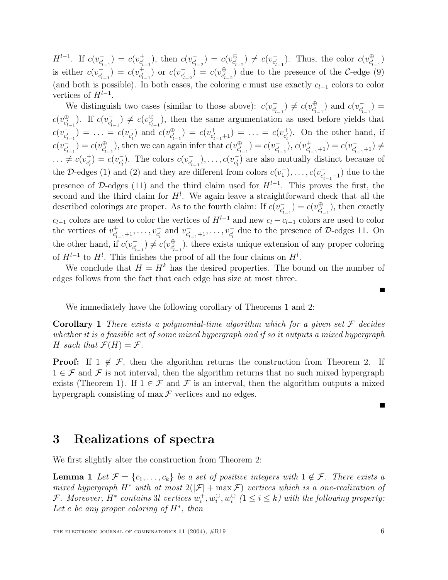$H^{l-1}$ . If  $c(v_{c'_{l-1}}^{-}) = c(v_{c'_{l-1}}^{+})$ , then  $c(v_{c'_{l-2}}^{-}) = c(v_{c'_{l-2}}^{\oplus}) \neq c(v_{c'_{l-1}}^{-})$ . Thus, the color  $c(v_{c'_{l-1}}^{\oplus})$ is either  $c(v_{c'_{l-1}}^-) = c(v_{c'_{l-1}}^+)$  or  $c(v_{c'_{l-2}}^-) = c(v_{c'_{l-2}}^+)$  due to the presence of the C-edge (9) (and both is possible). In both cases, the coloring c must use exactly  $c_{l-1}$  colors to color vertices of  $H^{l-1}$ .

We distinguish two cases (similar to those above):  $c(v_{c'_{l-1}}^-) \neq c(v_{c'_{l-1}}^0)$  and  $c(v_{c'_{l-1}}^-)$  $c(v_{c'_{i-1}}^{\oplus})$ . If  $c(v_{c'_{i-1}}^{\oplus}) \neq c(v_{c'_{i-1}}^{\oplus})$ , then the same argumentation as used before yields that  $c(v_{c'_{l-1}}^{-1}) = \ldots = c(v_{c'_{l}}^{-1})$  and  $c(v_{c'_{l-1}}^{\oplus}) = c(v_{c'_{l-1}+1}^{+1}) = \ldots = c(v_{c'_{l}}^{+})$ . On the other hand, if  $c(v_{c'_{l-1}}^{-}) = c(v_{c'_{l-1}}^{\oplus})$ , then we can again infer that  $c(v_{c'_{l-1}}^{\oplus}) = c(v_{c'_{l-1}}^{-})$ ,  $c(v_{c'_{l-1}+1}^{+}) = c(v_{c'_{l-1}+1}^{-}) \neq$  $\ldots \neq c(v_{c'_l}^+) = c(v_{c'_l}^-)$ . The colors  $c(v_{c'_{l-1}}^-)$ ,  $\ldots$ ,  $c(v_{c'_l}^-)$  are also mutually distinct because of the D-edges (1) and (2) and they are different from colors  $c(v_1^-), \ldots, c(v_{c'_{t-1}-1}^-)$  due to the presence of D-edges (11) and the third claim used for  $H^{l-1}$ . This proves the first, the second and the third claim for  $H^l$ . We again leave a straightforward check that all the described colorings are proper. As to the fourth claim: If  $c(v_{c_{i-1}}^-) = c(v_{c_{i-1}}^{\oplus})$ , then exactly  $c_{l-1}$  colors are used to color the vertices of  $H^{l-1}$  and new  $c_l - c_{l-1}$  colors are used to color the vertices of  $v_{c'_{l-1}+1}^+,\ldots,v_{c'_l}^+$  and  $v_{c'_{l-1}+1}^-,\ldots,v_{c'_l}^-$  due to the presence of D-edges 11. On the other hand, if  $c(v_{c'_{l-1}}^{\oplus}) \neq c(v_{c'_{l-1}}^{\oplus})$ , there exists unique extension of any proper coloring of  $H^{l-1}$  to  $H^l$ . This finishes the proof of all the four claims on  $H^l$ .

We conclude that  $H = H^k$  has the desired properties. The bound on the number of edges follows from the fact that each edge has size at most three.

We immediately have the following corollary of Theorems 1 and 2:

**Corollary 1** There exists a polynomial-time algorithm which for a given set  $\mathcal F$  decides whether it is a feasible set of some mixed hypergraph and if so it outputs a mixed hypergraph H such that  $\mathcal{F}(H) = \mathcal{F}$ .

**Proof:** If  $1 \notin \mathcal{F}$ , then the algorithm returns the construction from Theorem 2. If  $1 \in \mathcal{F}$  and  $\mathcal{F}$  is not interval, then the algorithm returns that no such mixed hypergraph exists (Theorem 1). If  $1 \in \mathcal{F}$  and  $\mathcal{F}$  is an interval, then the algorithm outputs a mixed hypergraph consisting of max  $\mathcal F$  vertices and no edges.

#### **3 Realizations of spectra**

We first slightly alter the construction from Theorem 2:

**Lemma 1** Let  $\mathcal{F} = \{c_1, \ldots, c_k\}$  be a set of positive integers with  $1 \notin \mathcal{F}$ . There exists a mixed hypergraph H<sup>\*</sup> with at most  $2(|\mathcal{F}| + \max \mathcal{F})$  vertices which is a one-realization of F. Moreover, H<sup>\*</sup> contains 3l vertices  $w_i^+, w_i^{\oplus}, w_i^{\ominus}$  ( $1 \leq i \leq k$ ) with the following property: Let c be any proper coloring of  $H^*$ , then

۰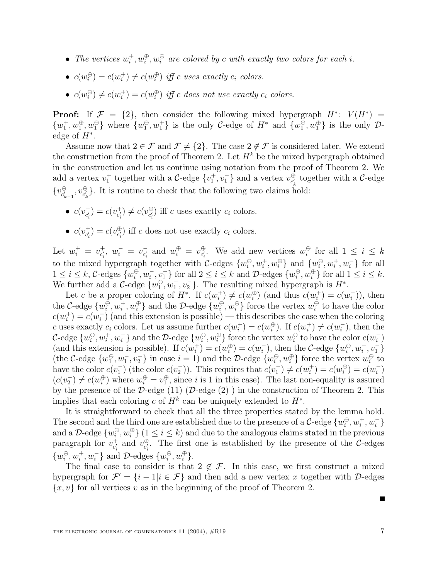- The vertices  $w_i^+, w_i^{\oplus}, w_i^{\ominus}$  are colored by c with exactly two colors for each i.
- $c(w_i^{\ominus}) = c(w_i^+) \neq c(w_i^{\oplus})$  iff c uses exactly  $c_i$  colors.
- $c(w_i^{\ominus}) \neq c(w_i^+) = c(w_i^{\oplus})$  iff c does not use exactly  $c_i$  colors.

**Proof:** If  $\mathcal{F} = \{2\}$ , then consider the following mixed hypergraph  $H^*$ :  $V(H^*)$  =  $\{w_1^{\dagger}, w_1^{\oplus}, w_1^{\ominus}\}\$  where  $\{w_1^{\ominus}, w_1^{\dagger}\}\$  is the only C-edge of  $H^*$  and  $\{w_1^{\ominus}, w_1^{\oplus}\}\$  is the only  $\mathcal{D}$ edge of  $H^*$ .

Assume now that  $2 \in \mathcal{F}$  and  $\mathcal{F} \neq \{2\}$ . The case  $2 \notin \mathcal{F}$  is considered later. We extend the construction from the proof of Theorem 2. Let  $H^k$  be the mixed hypergraph obtained in the construction and let us continue using notation from the proof of Theorem 2. We add a vertex  $v_1^+$  together with a  $C$ -edge  $\{v_1^+, v_1^-\}$  and a vertex  $v_{c_k^+}^{\oplus}$  together with a  $C$ -edge  $\{v_{c'_{k-1}}^{\oplus}, v_{c'_{k}}^{\oplus}\}.$  It is routine to check that the following two claims hold:

- $c(v_{c_i'}^-) = c(v_{c_i'}^+) \neq c(v_{c_i'}^{\oplus})$  iff c uses exactly  $c_i$  colors.
- $c(v_{c_i'}^+) = c(v_{c_i'}^{\oplus})$  iff c does not use exactly  $c_i$  colors.

Let  $w_i^+ = v_{c_i'}, w_i^- = v_{c_i'}^-$  and  $w_i^{\oplus} = v_{c_i'}^{\oplus}$ . We add new vertices  $w_i^{\ominus}$  for all  $1 \leq i \leq k$ to the mixed hypergraph together with  $\mathcal{C}$ -edges  $\{w_i^{\ominus}, w_i^+, w_i^{\oplus}\}\$  and  $\{w_i^{\ominus}, w_i^+, w_i^-\}$  for all  $1 \leq i \leq k$ , C-edges  $\{w_i^{\ominus}, w_i^-, v_1^-\}$  for all  $2 \leq i \leq k$  and D-edges  $\{w_i^{\ominus}, w_i^{\oplus}\}$  for all  $1 \leq i \leq k$ .<br>We further add a C edge  $\{w_i^{\ominus}, w_i^-, w_1^-\}$ . The resulting mixed hypergraph is  $H^*$ . We further add a  $\mathcal{C}$ -edge  $\{w_1^{\ominus}, w_1^{\ominus}, v_2^{\ominus}\}\$ . The resulting mixed hypergraph is  $H^*$ .

Let c be a proper coloring of  $H^*$ . If  $c(w_i^+) \neq c(w_i^{\oplus})$  (and thus  $c(w_i^+) = c(w_i^-)$ ), then the C-edge  $\{w_i^{\ominus}, w_i^+, w_i^{\oplus}\}$  and the D-edge  $\{w_i^{\ominus}, w_i^{\oplus}\}$  force the vertex  $w_i^{\ominus}$  to have the color  $c(w_i^+) = c(w_i^-)$  (and this extension is possible) — this describes the case when the coloring c uses exactly  $c_i$  colors. Let us assume further  $c(w_i^+) = c(w_i^+)$ . If  $c(w_i^+) \neq c(w_i^-)$ , then the  $\mathcal{C}\text{-edge} \ \{w_i^{\ominus}, w_i^+, w_i^-\}$  and the  $\mathcal{D}\text{-edge} \ \{w_i^{\ominus}, w_i^{\oplus}\}$  force the vertex  $w_i^{\ominus}$  to have the color  $c(w_i^-)$ (and this extension is possible). If  $c(w_i^+) = c(w_i^+) = c(w_i^-)$ , then the C-edge  $\{w_i^\ominus, w_i^-, v_1^-\}$ <br>(the C edge  $[w^\ominus, w^-]$  in ease  $i-1$ ) and the  $\mathcal{D}$  edge  $[w^\ominus, w^\ominus]$  force the varior  $w^\ominus$  to (the C-edge  $\{w_1^{\ominus}, w_1^{\ominus}, v_2^{\ominus}\}$  in case  $i = 1$ ) and the D-edge  $\{w_1^{\ominus}, w_1^{\oplus}\}$  force the vertex  $w_i^{\ominus}$  to be heaven the color  $g(x^{-})$  (the color  $g(x^{-})$ ). This requires that  $g(x^{-}) \neq g(x^{+}) = g(x^{+}) = g(x^{-})$ have the color  $c(v_1^-)$  (the color  $c(v_2^-)$ ). This requires that  $c(v_1^-) \neq c(w_1^+) = c(w_1^{\oplus}) = c(w_1^-)$ <br> $(c(v_1^-) \neq c(w_1^{\oplus})$  where  $w_1^{\oplus} = w_1^{\oplus}$  since i is 1 in this case). The last non-couplity is assumed  $(c(v_2^-) \neq c(w_1^{\oplus})$  where  $w_1^{\oplus} = v_1^{\oplus}$ , since i is 1 in this case). The last non-equality is assured<br>by the presence of the D odge (1) (D odge (2)) in the construction of Theorem 2. This by the presence of the D-edge (11) (D-edge (2)) in the construction of Theorem 2. This implies that each coloring c of  $H^k$  can be uniquely extended to  $H^*$ .

It is straightforward to check that all the three properties stated by the lemma hold. The second and the third one are established due to the presence of a  $C$ -edge  $\{w_i^{\ominus}, w_i^+, w_i^-\}$ and a D-edge  $\{w_i^{\ominus}, w_i^{\oplus}\}$   $(1 \le i \le k)$  and due to the analogous claims stated in the previous paragraph for  $v_{c_i'}^+$  and  $v_{c_i'}^{\oplus}$ . The first one is established by the presence of the C-edges  $\{w_i^{\ominus}, w_i^+, w_i^-\}$  and D-edges  $\{w_i^{\ominus}, w_i^{\oplus}\}.$ 

The final case to consider is that  $2 \notin \mathcal{F}$ . In this case, we first construct a mixed hypergraph for  $\mathcal{F}' = \{i - 1|i \in \mathcal{F}\}\$ and then add a new vertex x together with D-edges  $\{x, v\}$  for all vertices v as in the beginning of the proof of Theorem 2.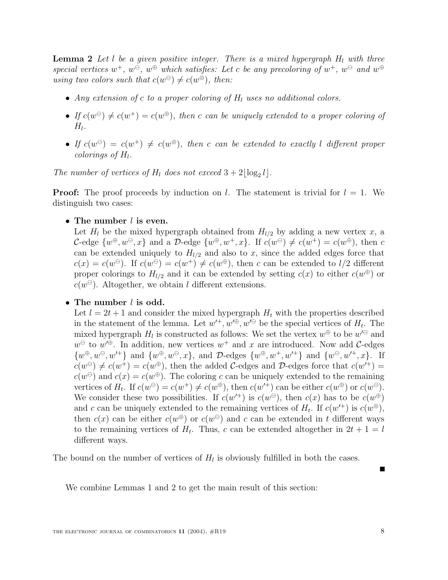**Lemma 2** Let l be a given positive integer. There is a mixed hypergraph  $H<sub>l</sub>$  with three special vertices  $w^+$ ,  $w^\ominus$ ,  $w^\oplus$  which satisfies: Let c be any precoloring of  $w^+$ ,  $w^\ominus$  and  $w^\oplus$ using two colors such that  $c(w^{\ominus}) \neq c(w^{\oplus})$ , then:

- Any extension of c to a proper coloring of  $H<sub>l</sub>$  uses no additional colors.
- If  $c(w^{\ominus}) \neq c(w^+) = c(w^{\oplus})$ , then c can be uniquely extended to a proper coloring of  $H<sub>1</sub>$ .
- If  $c(w^{\ominus}) = c(w^+) \neq c(w^{\oplus})$ , then c can be extended to exactly l different proper colorings of  $H_l$ .

The number of vertices of  $H_l$  does not exceed  $3+2\lfloor \log_2 l \rfloor$ .

**Proof:** The proof proceeds by induction on l. The statement is trivial for  $l = 1$ . We distinguish two cases:

• **The number** l **is even.**

Let  $H_l$  be the mixed hypergraph obtained from  $H_{l/2}$  by adding a new vertex x, a C-edge  $\{w^{\oplus}, w^{\ominus}, x\}$  and a D-edge  $\{w^{\oplus}, w^+, x\}$ . If  $c(w^{\ominus}) \neq c(w^+) = c(w^{\oplus})$ , then c can be extended uniquely to  $H_{l/2}$  and also to x, since the added edges force that  $c(x) = c(w^{\ominus})$ . If  $c(w^{\ominus}) = c(w^+) \neq c(w^{\oplus})$ , then c can be extended to  $l/2$  different proper colorings to  $H_{l/2}$  and it can be extended by setting  $c(x)$  to either  $c(w^{\oplus})$  or  $c(w^{\ominus})$ . Altogether, we obtain l different extensions.

• **The number** l **is odd.**

Let  $l = 2t + 1$  and consider the mixed hypergraph  $H_t$  with the properties described in the statement of the lemma. Let  $w^{+}$ ,  $w^{0}$ ,  $w^{0}$  be the special vertices of  $H_t$ . The mixed hypergraph  $H_l$  is constructed as follows: We set the vertex  $w^{\oplus}$  to be  $w^{\ominus}$  and  $w^{\oplus}$  to  $w'^{\oplus}$ . In addition, new vertices  $w^+$  and x are introduced. Now add C-edges  $\{w^{\oplus}, w^{\ominus}, w'^{+}\}\$ and  $\{w^{\oplus}, w^{\ominus}, x\}$ , and  $\mathcal{D}$ -edges  $\{w^{\oplus}, w^{+}, w'^{+}\}\$ and  $\{w^{\ominus}, w'^{+}, x\}$ . If  $c(w^{\ominus}) \neq c(w^+) = c(w^{\oplus})$ , then the added C-edges and D-edges force that  $c(w'^+)$  =  $c(w^{\ominus})$  and  $c(x) = c(w^{\oplus})$ . The coloring c can be uniquely extended to the remaining vertices of  $H_t$ . If  $c(w^{\oplus}) = c(w^+) \neq c(w^{\oplus})$ , then  $c(w'^+)$  can be either  $c(w^{\oplus})$  or  $c(w^{\ominus})$ . We consider these two possibilities. If  $c(w^{+})$  is  $c(w^{\oplus})$ , then  $c(x)$  has to be  $c(w^{\oplus})$ and c can be uniquely extended to the remaining vertices of  $H_t$ . If  $c(w^+)$  is  $c(w^{\oplus})$ , then  $c(x)$  can be either  $c(w^{\oplus})$  or  $c(w^{\ominus})$  and c can be extended in t different ways to the remaining vertices of  $H_t$ . Thus, c can be extended altogether in  $2t + 1 = l$ different ways.

The bound on the number of vertices of  $H_l$  is obviously fulfilled in both the cases.

We combine Lemmas 1 and 2 to get the main result of this section: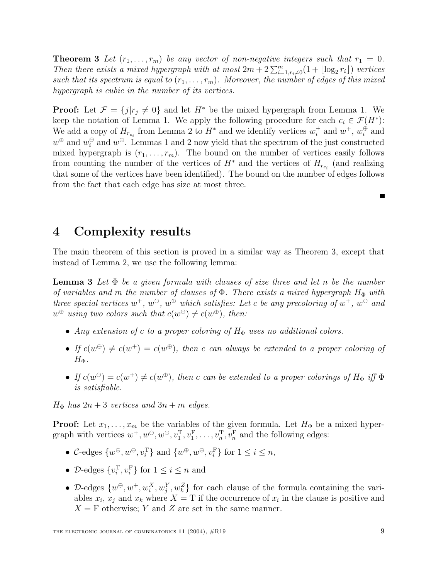**Theorem 3** Let  $(r_1, \ldots, r_m)$  be any vector of non-negative integers such that  $r_1 = 0$ . Then there exists a mixed hypergraph with at most  $2m + 2\sum_{i=1, r_i \neq 0}^{m}(1 + \lfloor \log_2 r_i \rfloor)$  vertices such that its spectrum is equal to  $(r_1,\ldots,r_m)$ . Moreover, the number of edges of this mixed hypergraph is cubic in the number of its vertices.

**Proof:** Let  $\mathcal{F} = \{j | r_j \neq 0\}$  and let  $H^*$  be the mixed hypergraph from Lemma 1. We keep the notation of Lemma 1. We apply the following procedure for each  $c_i \in \mathcal{F}(H^*)$ : We add a copy of  $H_{r_{c_i}}$  from Lemma 2 to  $H^*$  and we identify vertices  $w_i^+$  and  $w^+$ ,  $w_i^{\oplus}$  and  $w^{\oplus}$  and  $w^{\ominus}$ . Lemmas 1 and 2 now yield that the spectrum of the just constructed mixed hypergraph is  $(r_1,\ldots,r_m)$ . The bound on the number of vertices easily follows from counting the number of the vertices of  $H^*$  and the vertices of  $H_{r_{c_i}}$  (and realizing that some of the vertices have been identified). The bound on the number of edges follows from the fact that each edge has size at most three.

# **4 Complexity results**

The main theorem of this section is proved in a similar way as Theorem 3, except that instead of Lemma 2, we use the following lemma:

**Lemma 3** Let  $\Phi$  be a given formula with clauses of size three and let n be the number of variables and m the number of clauses of  $\Phi$ . There exists a mixed hypergraph  $H_{\Phi}$  with three special vertices  $w^+$ ,  $w^\ominus$ ,  $w^\oplus$  which satisfies: Let c be any precoloring of  $w^+$ ,  $w^\ominus$  and  $w^{\oplus}$  using two colors such that  $c(w^{\ominus}) \neq c(w^{\oplus})$ , then:

- Any extension of c to a proper coloring of  $H_{\Phi}$  uses no additional colors.
- If  $c(w^{\ominus}) \neq c(w^{+}) = c(w^{\oplus})$ , then c can always be extended to a proper coloring of  $H_{\Phi}$ .
- If  $c(w^{\ominus}) = c(w^+) \neq c(w^{\oplus})$ , then c can be extended to a proper colorings of  $H_{\Phi}$  iff  $\Phi$ is satisfiable.

 $H_{\Phi}$  has  $2n+3$  vertices and  $3n+m$  edges.

**Proof:** Let  $x_1, \ldots, x_m$  be the variables of the given formula. Let  $H_{\Phi}$  be a mixed hypergraph with vertices  $w^+, w^{\ominus}, w^{\oplus}, v_1^{\mathrm{T}}, v_1^{\mathrm{F}}, \ldots, v_n^{\mathrm{T}}, v_n^{\mathrm{F}}$  and the following edges:

- C-edges  $\{w^{\oplus}, w^{\ominus}, v_i^{\mathrm{T}}\}$  and  $\{w^{\oplus}, w^{\ominus}, v_i^{\mathrm{F}}\}$  for  $1 \leq i \leq n$ ,
- D-edges  $\{v_i^{\mathrm{T}}, v_i^{\mathrm{F}}\}$  for  $1 \leq i \leq n$  and
- D-edges  $\{w^{\ominus}, w^+, w_i^X, w_j^Y, w_k^Z\}$  for each clause of the formula containing the variables  $x_i$ ,  $x_j$  and  $x_k$  where  $X = T$  if the occurrence of  $x_i$  in the clause is positive and  $X = F$  otherwise; Y and Z are set in the same manner.

П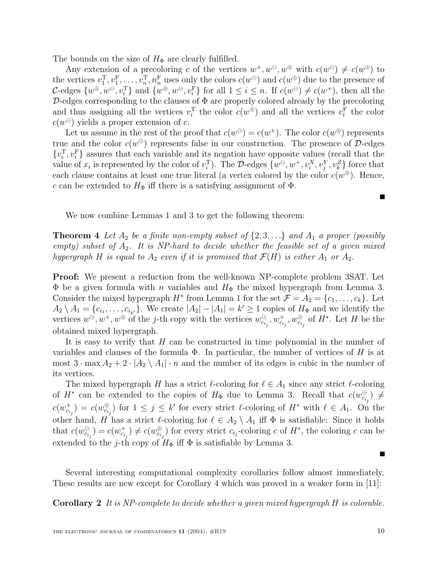The bounds on the size of  $H_{\Phi}$  are clearly fulfilled.

Any extension of a precoloring c of the vertices  $w^+, w^{\ominus}, w^{\oplus}$  with  $c(w^{\ominus}) \neq c(w^{\oplus})$  to the vertices  $v_1^{\mathrm{T}}, v_1^{\mathrm{F}}, \ldots, v_n^{\mathrm{T}}, n_n^{\mathrm{F}}$  uses only the colors  $c(w^\oplus)$  and  $c(w^\oplus)$  due to the presence of  $c$  odges  $\{w^\oplus,w^\ominus,w^\boxplus\}$  and  $\{w^\oplus,w^\ominus,w^\boxplus\}$  for all  $1\leq i\leq n$ . If  $c(w^\ominus)\neq c(w^\perp)$  then all t C-edges  $\{w^{\oplus}, w^{\ominus}, v_i^{\mathrm{T}}\}$  and  $\{w^{\oplus}, w^{\ominus}, v_i^{\mathrm{F}}\}$  for all  $1 \leq i \leq n$ . If  $c(w^{\ominus}) \neq c(w^+)$ , then all the  $D$ -edges corresponding to the clauses of  $\Phi$  are properly colored already by the precoloring and thus assigning all the vertices  $v_i^{\mathrm{T}}$  the color  $c(w^{\oplus})$  and all the vertices  $v_i^{\mathrm{F}}$  the color  $c(w^{\ominus})$  yields a proper extension of c.

Let us assume in the rest of the proof that  $c(w^{\oplus}) = c(w^{+})$ . The color  $c(w^{\oplus})$  represents true and the color  $c(w^{\ominus})$  represents false in our construction. The presence of D-edges  $\{v_i^{\mathrm{T}}, v_i^{\mathrm{F}}\}$  assures that each variable and its negation have opposite values (recall that the value of  $x_i$  is represented by the color of  $v_i^{\mathrm{T}}$ ). The D-edges  $\{w^{\ominus}, w^+, v_i^X, v_j^Y, v_k^Z\}$  force that each clause contains at least one true literal (a vertex colored by the color  $c(w^{\oplus})$ ). Hence, c can be extended to  $H_{\Phi}$  iff there is a satisfying assignment of  $\Phi$ .

We now combine Lemmas 1 and 3 to get the following theorem:

**Theorem 4** Let  $A_2$  be a finite non-empty subset of  $\{2, 3, ...\}$  and  $A_1$  a proper (possibly empty) subset of  $A_2$ . It is NP-hard to decide whether the feasible set of a given mixed hypergraph H is equal to  $A_2$  even if it is promised that  $\mathcal{F}(H)$  is either  $A_1$  or  $A_2$ .

**Proof:** We present a reduction from the well-known NP-complete problem 3SAT. Let  $\Phi$  be a given formula with *n* variables and  $H_{\Phi}$  the mixed hypergraph from Lemma 3. Consider the mixed hypergraph  $H^*$  from Lemma 1 for the set  $\mathcal{F} = A_2 = \{c_1, \ldots, c_k\}$ . Let  $A_2 \setminus A_1 = \{c_{i_1}, \ldots, c_{i_{k'}}\}.$  We create  $|A_2| - |A_1| = k' \geq 1$  copies of  $H_{\Phi}$  and we identify the vertices  $w^\ominus, w^+, w^\oplus$  of the *j*-th copy with the vertices  $w^\ominus_{c_{i_j}}, w^+_{c_{i_j}}, w^\oplus_{c_{i_j}}$  of  $H^*$ . Let  $H$  be the obtained mixed hypergraph.

It is easy to verify that  $H$  can be constructed in time polynomial in the number of variables and clauses of the formula  $\Phi$ . In particular, the number of vertices of H is at most  $3 \cdot \max A_2 + 2 \cdot |A_2 \setminus A_1| \cdot n$  and the number of its edges is cubic in the number of its vertices.

The mixed hypergraph H has a strict  $\ell$ -coloring for  $\ell \in A_1$  since any strict  $\ell$ -coloring of  $H^*$  can be extended to the copies of  $H_{\Phi}$  due to Lemma 3. Recall that  $c(w_{c_{i_j}}^{\ominus}) \neq$  $c(w_{c_{i_j}}^+) = c(w_{c_{i_j}}^{\oplus})$  for  $1 \leq j \leq k'$  for every strict  $\ell$ -coloring of  $H^*$  with  $\ell \in A_1$ . On the other hand, H has a strict  $\ell$ -coloring for  $\ell \in A_2 \setminus A_1$  iff  $\Phi$  is satisfiable: Since it holds that  $c(w_{c_{i_j}}^{\ominus}) = c(w_{c_{i_j}}^{+}) \neq c(w_{c_{i_j}}^{\oplus})$  for every strict  $c_{i_j}$ -coloring c of  $H^*$ , the coloring c can be extended to the j-th copy of  $H_{\Phi}$  iff  $\Phi$  is satisfiable by Lemma 3.

Several interesting computational complexity corollaries follow almost immediately. These results are new except for Corollary 4 which was proved in a weaker form in [11]:

**Corollary 2** It is NP-complete to decide whether a given mixed hypergraph H is colorable.

Е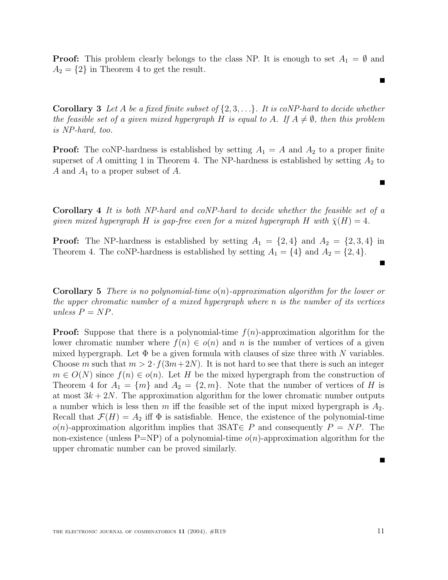**Proof:** This problem clearly belongs to the class NP. It is enough to set  $A_1 = \emptyset$  and  $A_2 = \{2\}$  in Theorem 4 to get the result.

**Corollary 3** Let A be a fixed finite subset of  $\{2, 3, ...\}$ . It is coNP-hard to decide whether the feasible set of a given mixed hypergraph H is equal to A. If  $A \neq \emptyset$ , then this problem is NP-hard, too.

**Proof:** The coNP-hardness is established by setting  $A_1 = A$  and  $A_2$  to a proper finite superset of A omitting 1 in Theorem 4. The NP-hardness is established by setting  $A_2$  to A and  $A_1$  to a proper subset of A.

**Corollary 4** It is both NP-hard and coNP-hard to decide whether the feasible set of a given mixed hypergraph H is gap-free even for a mixed hypergraph H with  $\bar{\chi}(H)=4$ .

**Proof:** The NP-hardness is established by setting  $A_1 = \{2, 4\}$  and  $A_2 = \{2, 3, 4\}$  in Theorem 4. The coNP-hardness is established by setting  $A_1 = \{4\}$  and  $A_2 = \{2, 4\}.$ 

**Corollary 5** There is no polynomial-time o(n)-approximation algorithm for the lower or the upper chromatic number of a mixed hypergraph where n is the number of its vertices unless  $P = NP$ .

**Proof:** Suppose that there is a polynomial-time  $f(n)$ -approximation algorithm for the lower chromatic number where  $f(n) \in o(n)$  and n is the number of vertices of a given mixed hypergraph. Let  $\Phi$  be a given formula with clauses of size three with N variables. Choose m such that  $m > 2 \cdot f(3m+2N)$ . It is not hard to see that there is such an integer  $m \in O(N)$  since  $f(n) \in o(n)$ . Let H be the mixed hypergraph from the construction of Theorem 4 for  $A_1 = \{m\}$  and  $A_2 = \{2, m\}$ . Note that the number of vertices of H is at most  $3k + 2N$ . The approximation algorithm for the lower chromatic number outputs a number which is less then m iff the feasible set of the input mixed hypergraph is  $A_2$ . Recall that  $\mathcal{F}(H) = A_2$  iff  $\Phi$  is satisfiable. Hence, the existence of the polynomial-time  $o(n)$ -approximation algorithm implies that 3SAT $\in P$  and consequently  $P = NP$ . The non-existence (unless  $P=NP$ ) of a polynomial-time  $o(n)$ -approximation algorithm for the upper chromatic number can be proved similarly.

Г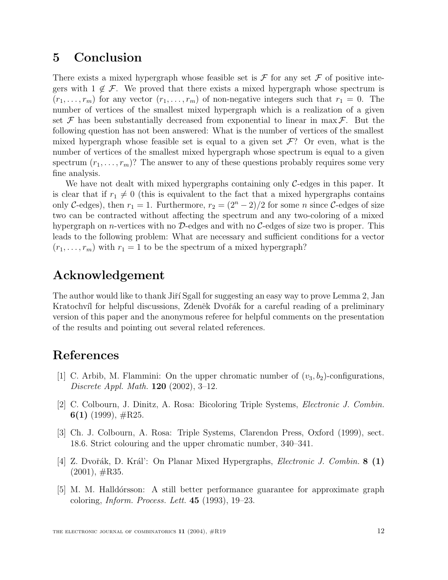# **5 Conclusion**

There exists a mixed hypergraph whose feasible set is  $\mathcal F$  for any set  $\mathcal F$  of positive integers with  $1 \notin \mathcal{F}$ . We proved that there exists a mixed hypergraph whose spectrum is  $(r_1,\ldots,r_m)$  for any vector  $(r_1,\ldots,r_m)$  of non-negative integers such that  $r_1 = 0$ . The number of vertices of the smallest mixed hypergraph which is a realization of a given set  $\mathcal F$  has been substantially decreased from exponential to linear in max  $\mathcal F$ . But the following question has not been answered: What is the number of vertices of the smallest mixed hypergraph whose feasible set is equal to a given set  $\mathcal{F}$ ? Or even, what is the number of vertices of the smallest mixed hypergraph whose spectrum is equal to a given spectrum  $(r_1,\ldots,r_m)$ ? The answer to any of these questions probably requires some very fine analysis.

We have not dealt with mixed hypergraphs containing only  $C$ -edges in this paper. It is clear that if  $r_1 \neq 0$  (this is equivalent to the fact that a mixed hypergraphs contains only C-edges), then  $r_1 = 1$ . Furthermore,  $r_2 = (2^n - 2)/2$  for some n since C-edges of size two can be contracted without affecting the spectrum and any two-coloring of a mixed hypergraph on *n*-vertices with no  $D$ -edges and with no  $C$ -edges of size two is proper. This leads to the following problem: What are necessary and sufficient conditions for a vector  $(r_1,\ldots,r_m)$  with  $r_1 = 1$  to be the spectrum of a mixed hypergraph?

# **Acknowledgement**

The author would like to thank Jiří Sgall for suggesting an easy way to prove Lemma 2, Jan Kratochvíl for helpful discussions, Zdeněk Dvořák for a careful reading of a preliminary version of this paper and the anonymous referee for helpful comments on the presentation of the results and pointing out several related references.

# **References**

- [1] C. Arbib, M. Flammini: On the upper chromatic number of  $(v_3, b_2)$ -configurations, Discrete Appl. Math. **120** (2002), 3–12.
- [2] C. Colbourn, J. Dinitz, A. Rosa: Bicoloring Triple Systems, Electronic J. Combin. **6(1)** (1999), #R25.
- [3] Ch. J. Colbourn, A. Rosa: Triple Systems, Clarendon Press, Oxford (1999), sect. 18.6. Strict colouring and the upper chromatic number, 340–341.
- [4] Z. Dvoˇr´ak, D. Kr´al': On Planar Mixed Hypergraphs, Electronic J. Combin. **8 (1)**  $(2001), \#R35.$
- [5] M. M. Halld´orsson: A still better performance guarantee for approximate graph coloring, Inform. Process. Lett. **45** (1993), 19–23.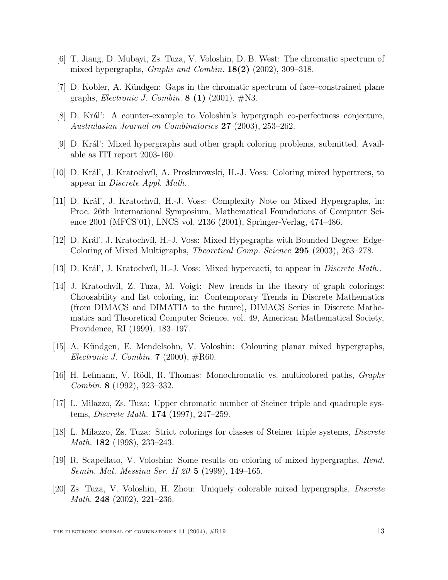- [6] T. Jiang, D. Mubayi, Zs. Tuza, V. Voloshin, D. B. West: The chromatic spectrum of mixed hypergraphs, Graphs and Combin. **18(2)** (2002), 309–318.
- [7] D. Kobler, A. Kündgen: Gaps in the chromatic spectrum of face–constrained plane graphs, Electronic J. Combin. **8 (1)** (2001), #N3.
- [8] D. Král': A counter-example to Voloshin's hypergraph co-perfectness conjecture, Australasian Journal on Combinatorics **27** (2003), 253–262.
- [9] D. Král': Mixed hypergraphs and other graph coloring problems, submitted. Available as ITI report 2003-160.
- [10] D. Kr´al', J. Kratochv´ıl, A. Proskurowski, H.-J. Voss: Coloring mixed hypertrees, to appear in Discrete Appl. Math..
- [11] D. Král', J. Kratochvíl, H.-J. Voss: Complexity Note on Mixed Hypergraphs, in: Proc. 26th International Symposium, Mathematical Foundations of Computer Science 2001 (MFCS'01), LNCS vol. 2136 (2001), Springer-Verlag, 474–486.
- [12] D. Král', J. Kratochvíl, H.-J. Voss: Mixed Hypegraphs with Bounded Degree: Edge-Coloring of Mixed Multigraphs, Theoretical Comp. Science **295** (2003), 263–278.
- [13] D. Král', J. Kratochvíl, H.-J. Voss: Mixed hypercacti, to appear in *Discrete Math..*
- [14] J. Kratochvíl, Z. Tuza, M. Voigt: New trends in the theory of graph colorings: Choosability and list coloring, in: Contemporary Trends in Discrete Mathematics (from DIMACS and DIMATIA to the future), DIMACS Series in Discrete Mathematics and Theoretical Computer Science, vol. 49, American Mathematical Society, Providence, RI (1999), 183–197.
- [15] A. Kündgen, E. Mendelsohn, V. Voloshin: Colouring planar mixed hypergraphs, Electronic J. Combin. **7** (2000), #R60.
- [16] H. Lefmann, V. Rödl, R. Thomas: Monochromatic vs. multicolored paths, *Graphs* Combin. **8** (1992), 323–332.
- [17] L. Milazzo, Zs. Tuza: Upper chromatic number of Steiner triple and quadruple systems, Discrete Math. **174** (1997), 247–259.
- [18] L. Milazzo, Zs. Tuza: Strict colorings for classes of Steiner triple systems, Discrete Math. **182** (1998), 233–243.
- [19] R. Scapellato, V. Voloshin: Some results on coloring of mixed hypergraphs, Rend. Semin. Mat. Messina Ser. II 20 **5** (1999), 149–165.
- [20] Zs. Tuza, V. Voloshin, H. Zhou: Uniquely colorable mixed hypergraphs, Discrete Math. **248** (2002), 221–236.